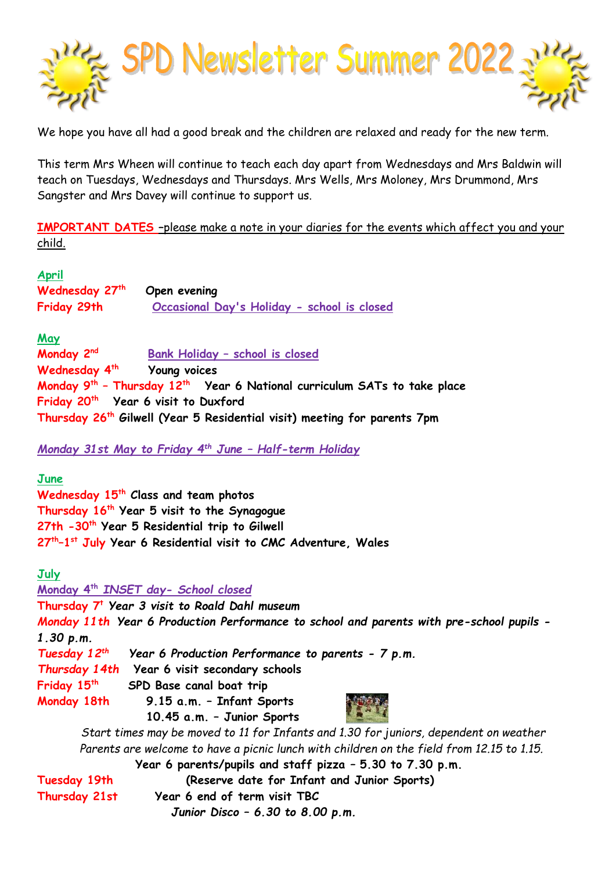

We hope you have all had a good break and the children are relaxed and ready for the new term.

This term Mrs Wheen will continue to teach each day apart from Wednesdays and Mrs Baldwin will teach on Tuesdays, Wednesdays and Thursdays. Mrs Wells, Mrs Moloney, Mrs Drummond, Mrs Sangster and Mrs Davey will continue to support us.

**IMPORTANT DATES –**please make a note in your diaries for the events which affect you and your child.

**April**

| .<br>Wednesday 27th | Open evening                                |
|---------------------|---------------------------------------------|
| Friday 29th         | Occasional Day's Holiday - school is closed |

**May**

**Monday** 2<sup>nd</sup>  **Bank Holiday – school is closed Wednesday 4th Young voices Monday 9th – Thursday 12th Year 6 National curriculum SATs to take place Friday 20th Year 6 visit to Duxford Thursday 26th Gilwell (Year 5 Residential visit) meeting for parents 7pm**

*Monday 31st May to Friday 4th June – Half-term Holiday*

**June**

**Wednesday 15th Class and team photos Thursday 16th Year 5 visit to the Synagogue 27th -30th Year 5 Residential trip to Gilwell 27th –1 st July Year 6 Residential visit to CMC Adventure, Wales** 

**July**

**Monday 4th** *INSET day- School closed* **Thursday 7<sup>t</sup>** *Year 3 visit to Roald Dahl museum Monday 11th Year 6 Production Performance to school and parents with pre-school pupils - 1.30 p.m. Tuesday 12th Year 6 Production Performance to parents - 7 p.m. Thursday 14th* **Year 6 visit secondary schools Friday 15th SPD Base canal boat trip Monday 18th 9.15 a.m. – Infant Sports 10.45 a.m. – Junior Sports**

 *Start times may be moved to 11 for Infants and 1.30 for juniors, dependent on weather Parents are welcome to have a picnic lunch with children on the field from 12.15 to 1.15.*

|               | Year 6 parents/pupils and staff pizza - 5.30 to 7.30 p.m. |
|---------------|-----------------------------------------------------------|
| Tuesday 19th  | (Reserve date for Infant and Junior Sports)               |
| Thursday 21st | Year 6 end of term visit TBC                              |
|               | Junior Disco - 6.30 to 8.00 p.m.                          |